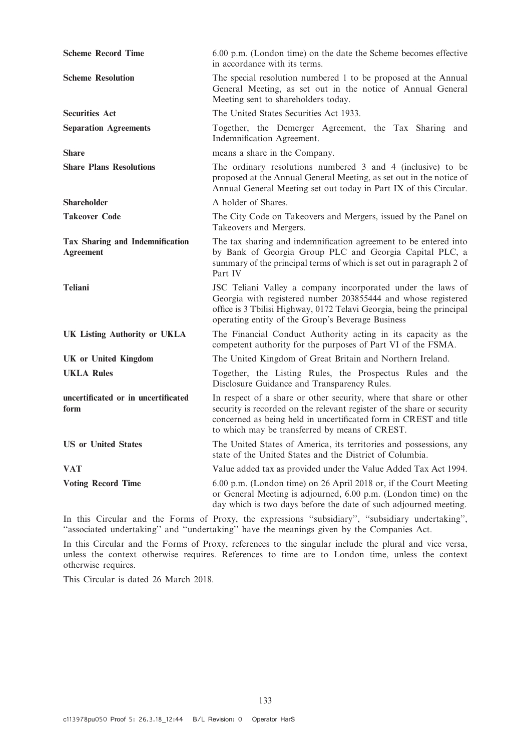| <b>Scheme Record Time</b>                                  | 6.00 p.m. (London time) on the date the Scheme becomes effective<br>in accordance with its terms.                                                                                                                                                                   |
|------------------------------------------------------------|---------------------------------------------------------------------------------------------------------------------------------------------------------------------------------------------------------------------------------------------------------------------|
| <b>Scheme Resolution</b>                                   | The special resolution numbered 1 to be proposed at the Annual<br>General Meeting, as set out in the notice of Annual General<br>Meeting sent to shareholders today.                                                                                                |
| <b>Securities Act</b>                                      | The United States Securities Act 1933.                                                                                                                                                                                                                              |
| <b>Separation Agreements</b>                               | Together, the Demerger Agreement, the Tax Sharing and<br>Indemnification Agreement.                                                                                                                                                                                 |
| <b>Share</b>                                               | means a share in the Company.                                                                                                                                                                                                                                       |
| <b>Share Plans Resolutions</b>                             | The ordinary resolutions numbered 3 and 4 (inclusive) to be<br>proposed at the Annual General Meeting, as set out in the notice of<br>Annual General Meeting set out today in Part IX of this Circular.                                                             |
| Shareholder                                                | A holder of Shares.                                                                                                                                                                                                                                                 |
| <b>Takeover Code</b>                                       | The City Code on Takeovers and Mergers, issued by the Panel on<br>Takeovers and Mergers.                                                                                                                                                                            |
| <b>Tax Sharing and Indemnification</b><br><b>Agreement</b> | The tax sharing and indemnification agreement to be entered into<br>by Bank of Georgia Group PLC and Georgia Capital PLC, a<br>summary of the principal terms of which is set out in paragraph 2 of<br>Part IV                                                      |
| <b>Teliani</b>                                             | JSC Teliani Valley a company incorporated under the laws of<br>Georgia with registered number 203855444 and whose registered<br>office is 3 Tbilisi Highway, 0172 Telavi Georgia, being the principal<br>operating entity of the Group's Beverage Business          |
| <b>UK Listing Authority or UKLA</b>                        | The Financial Conduct Authority acting in its capacity as the<br>competent authority for the purposes of Part VI of the FSMA.                                                                                                                                       |
| <b>UK</b> or United Kingdom                                | The United Kingdom of Great Britain and Northern Ireland.                                                                                                                                                                                                           |
| <b>UKLA Rules</b>                                          | Together, the Listing Rules, the Prospectus Rules and the<br>Disclosure Guidance and Transparency Rules.                                                                                                                                                            |
| uncertificated or in uncertificated<br>form                | In respect of a share or other security, where that share or other<br>security is recorded on the relevant register of the share or security<br>concerned as being held in uncertificated form in CREST and title<br>to which may be transferred by means of CREST. |
| <b>US</b> or United States                                 | The United States of America, its territories and possessions, any<br>state of the United States and the District of Columbia.                                                                                                                                      |
| <b>VAT</b>                                                 | Value added tax as provided under the Value Added Tax Act 1994.                                                                                                                                                                                                     |
| <b>Voting Record Time</b>                                  | 6.00 p.m. (London time) on 26 April 2018 or, if the Court Meeting<br>or General Meeting is adjourned, 6.00 p.m. (London time) on the<br>day which is two days before the date of such adjourned meeting.                                                            |

In this Circular and the Forms of Proxy, the expressions ''subsidiary'', ''subsidiary undertaking'', ''associated undertaking'' and ''undertaking'' have the meanings given by the Companies Act.

In this Circular and the Forms of Proxy, references to the singular include the plural and vice versa, unless the context otherwise requires. References to time are to London time, unless the context otherwise requires.

This Circular is dated 26 March 2018.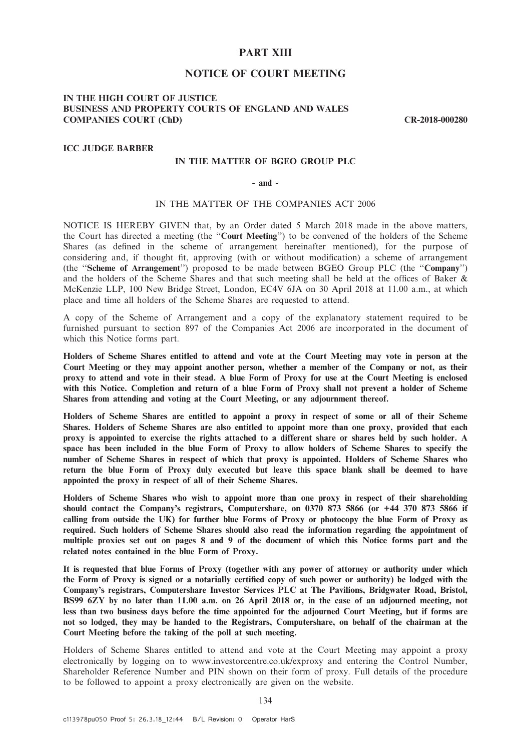# PART XIII

## NOTICE OF COURT MEETING

## IN THE HIGH COURT OF JUSTICE BUSINESS AND PROPERTY COURTS OF ENGLAND AND WALES COMPANIES COURT (ChD) CR-2018-000280

#### ICC JUDGE BARBER

## IN THE MATTER OF BGEO GROUP PLC

#### - and -

## IN THE MATTER OF THE COMPANIES ACT 2006

NOTICE IS HEREBY GIVEN that, by an Order dated 5 March 2018 made in the above matters, the Court has directed a meeting (the ''Court Meeting'') to be convened of the holders of the Scheme Shares (as defined in the scheme of arrangement hereinafter mentioned), for the purpose of considering and, if thought fit, approving (with or without modification) a scheme of arrangement (the ''Scheme of Arrangement'') proposed to be made between BGEO Group PLC (the ''Company'') and the holders of the Scheme Shares and that such meeting shall be held at the offices of Baker & McKenzie LLP, 100 New Bridge Street, London, EC4V 6JA on 30 April 2018 at 11.00 a.m., at which place and time all holders of the Scheme Shares are requested to attend.

A copy of the Scheme of Arrangement and a copy of the explanatory statement required to be furnished pursuant to section 897 of the Companies Act 2006 are incorporated in the document of which this Notice forms part.

Holders of Scheme Shares entitled to attend and vote at the Court Meeting may vote in person at the Court Meeting or they may appoint another person, whether a member of the Company or not, as their proxy to attend and vote in their stead. A blue Form of Proxy for use at the Court Meeting is enclosed with this Notice. Completion and return of a blue Form of Proxy shall not prevent a holder of Scheme Shares from attending and voting at the Court Meeting, or any adjournment thereof.

Holders of Scheme Shares are entitled to appoint a proxy in respect of some or all of their Scheme Shares. Holders of Scheme Shares are also entitled to appoint more than one proxy, provided that each proxy is appointed to exercise the rights attached to a different share or shares held by such holder. A space has been included in the blue Form of Proxy to allow holders of Scheme Shares to specify the number of Scheme Shares in respect of which that proxy is appointed. Holders of Scheme Shares who return the blue Form of Proxy duly executed but leave this space blank shall be deemed to have appointed the proxy in respect of all of their Scheme Shares.

Holders of Scheme Shares who wish to appoint more than one proxy in respect of their shareholding should contact the Company's registrars, Computershare, on 0370 873 5866 (or +44 370 873 5866 if calling from outside the UK) for further blue Forms of Proxy or photocopy the blue Form of Proxy as required. Such holders of Scheme Shares should also read the information regarding the appointment of multiple proxies set out on pages 8 and 9 of the document of which this Notice forms part and the related notes contained in the blue Form of Proxy.

It is requested that blue Forms of Proxy (together with any power of attorney or authority under which the Form of Proxy is signed or a notarially certified copy of such power or authority) be lodged with the Company's registrars, Computershare Investor Services PLC at The Pavilions, Bridgwater Road, Bristol, BS99 6ZY by no later than 11.00 a.m. on 26 April 2018 or, in the case of an adjourned meeting, not less than two business days before the time appointed for the adjourned Court Meeting, but if forms are not so lodged, they may be handed to the Registrars, Computershare, on behalf of the chairman at the Court Meeting before the taking of the poll at such meeting.

Holders of Scheme Shares entitled to attend and vote at the Court Meeting may appoint a proxy electronically by logging on to www.investorcentre.co.uk/exproxy and entering the Control Number, Shareholder Reference Number and PIN shown on their form of proxy. Full details of the procedure to be followed to appoint a proxy electronically are given on the website.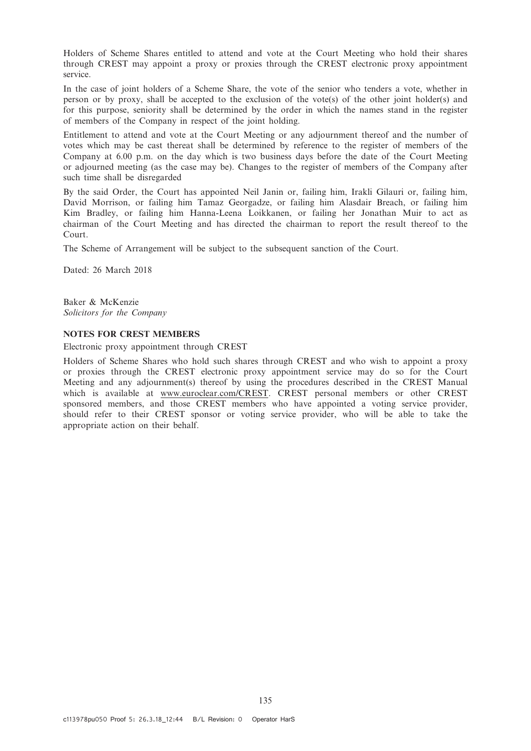Holders of Scheme Shares entitled to attend and vote at the Court Meeting who hold their shares through CREST may appoint a proxy or proxies through the CREST electronic proxy appointment service.

In the case of joint holders of a Scheme Share, the vote of the senior who tenders a vote, whether in person or by proxy, shall be accepted to the exclusion of the vote(s) of the other joint holder(s) and for this purpose, seniority shall be determined by the order in which the names stand in the register of members of the Company in respect of the joint holding.

Entitlement to attend and vote at the Court Meeting or any adjournment thereof and the number of votes which may be cast thereat shall be determined by reference to the register of members of the Company at 6.00 p.m. on the day which is two business days before the date of the Court Meeting or adjourned meeting (as the case may be). Changes to the register of members of the Company after such time shall be disregarded

By the said Order, the Court has appointed Neil Janin or, failing him, Irakli Gilauri or, failing him, David Morrison, or failing him Tamaz Georgadze, or failing him Alasdair Breach, or failing him Kim Bradley, or failing him Hanna-Leena Loikkanen, or failing her Jonathan Muir to act as chairman of the Court Meeting and has directed the chairman to report the result thereof to the Court.

The Scheme of Arrangement will be subject to the subsequent sanction of the Court.

Dated: 26 March 2018

Baker & McKenzie Solicitors for the Company

## NOTES FOR CREST MEMBERS

Electronic proxy appointment through CREST

Holders of Scheme Shares who hold such shares through CREST and who wish to appoint a proxy or proxies through the CREST electronic proxy appointment service may do so for the Court Meeting and any adjournment(s) thereof by using the procedures described in the CREST Manual which is available at www.euroclear.com/CREST. CREST personal members or other CREST sponsored members, and those CREST members who have appointed a voting service provider, should refer to their CREST sponsor or voting service provider, who will be able to take the appropriate action on their behalf.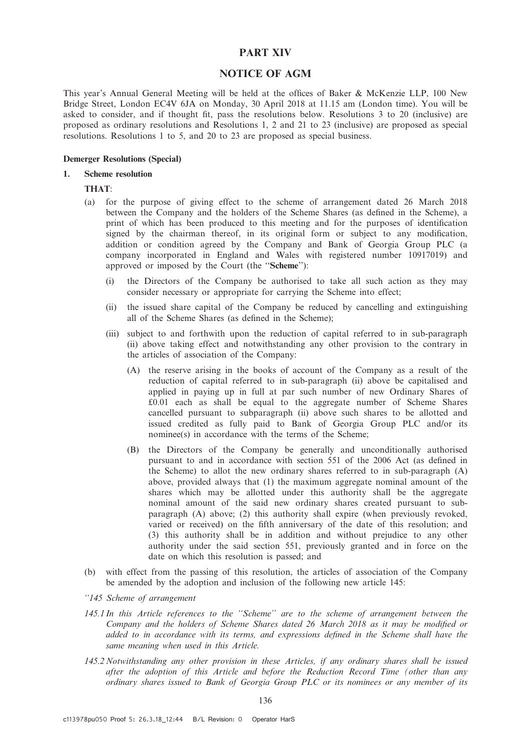## PART XIV

# NOTICE OF AGM

This year's Annual General Meeting will be held at the offices of Baker & McKenzie LLP, 100 New Bridge Street, London EC4V 6JA on Monday, 30 April 2018 at 11.15 am (London time). You will be asked to consider, and if thought fit, pass the resolutions below. Resolutions 3 to 20 (inclusive) are proposed as ordinary resolutions and Resolutions 1, 2 and 21 to 23 (inclusive) are proposed as special resolutions. Resolutions 1 to 5, and 20 to 23 are proposed as special business.

#### Demerger Resolutions (Special)

#### 1. Scheme resolution

## THAT:

- (a) for the purpose of giving effect to the scheme of arrangement dated 26 March 2018 between the Company and the holders of the Scheme Shares (as defined in the Scheme), a print of which has been produced to this meeting and for the purposes of identification signed by the chairman thereof, in its original form or subject to any modification, addition or condition agreed by the Company and Bank of Georgia Group PLC (a company incorporated in England and Wales with registered number 10917019) and approved or imposed by the Court (the ''Scheme''):
	- (i) the Directors of the Company be authorised to take all such action as they may consider necessary or appropriate for carrying the Scheme into effect;
	- (ii) the issued share capital of the Company be reduced by cancelling and extinguishing all of the Scheme Shares (as defined in the Scheme);
	- (iii) subject to and forthwith upon the reduction of capital referred to in sub-paragraph (ii) above taking effect and notwithstanding any other provision to the contrary in the articles of association of the Company:
		- (A) the reserve arising in the books of account of the Company as a result of the reduction of capital referred to in sub-paragraph (ii) above be capitalised and applied in paying up in full at par such number of new Ordinary Shares of £0.01 each as shall be equal to the aggregate number of Scheme Shares cancelled pursuant to subparagraph (ii) above such shares to be allotted and issued credited as fully paid to Bank of Georgia Group PLC and/or its nominee(s) in accordance with the terms of the Scheme;
		- (B) the Directors of the Company be generally and unconditionally authorised pursuant to and in accordance with section 551 of the 2006 Act (as defined in the Scheme) to allot the new ordinary shares referred to in sub-paragraph (A) above, provided always that (1) the maximum aggregate nominal amount of the shares which may be allotted under this authority shall be the aggregate nominal amount of the said new ordinary shares created pursuant to subparagraph (A) above; (2) this authority shall expire (when previously revoked, varied or received) on the fifth anniversary of the date of this resolution; and (3) this authority shall be in addition and without prejudice to any other authority under the said section 551, previously granted and in force on the date on which this resolution is passed; and
- (b) with effect from the passing of this resolution, the articles of association of the Company be amended by the adoption and inclusion of the following new article 145:

#### ''145 Scheme of arrangement

- 145.1 In this Article references to the ''Scheme'' are to the scheme of arrangement between the Company and the holders of Scheme Shares dated 26 March 2018 as it may be modified or added to in accordance with its terms, and expressions defined in the Scheme shall have the same meaning when used in this Article.
- 145.2 Notwithstanding any other provision in these Articles, if any ordinary shares shall be issued after the adoption of this Article and before the Reduction Record Time (other than any ordinary shares issued to Bank of Georgia Group PLC or its nominees or any member of its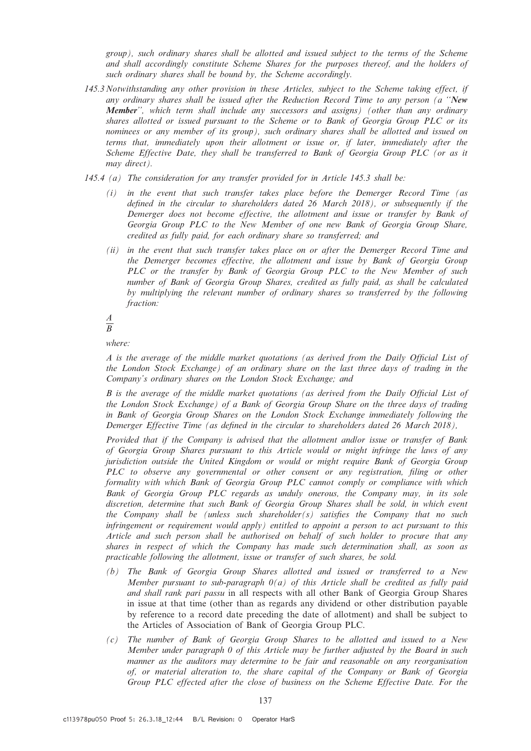group), such ordinary shares shall be allotted and issued subject to the terms of the Scheme and shall accordingly constitute Scheme Shares for the purposes thereof, and the holders of such ordinary shares shall be bound by, the Scheme accordingly.

- 145.3 Notwithstanding any other provision in these Articles, subject to the Scheme taking effect, if any ordinary shares shall be issued after the Reduction Record Time to any person (a ''New Member", which term shall include any successors and assigns) (other than any ordinary shares allotted or issued pursuant to the Scheme or to Bank of Georgia Group PLC or its nominees or any member of its group), such ordinary shares shall be allotted and issued on terms that, immediately upon their allotment or issue or, if later, immediately after the Scheme Effective Date, they shall be transferred to Bank of Georgia Group PLC (or as it may direct).
- 145.4 (a) The consideration for any transfer provided for in Article 145.3 shall be:
	- (i) in the event that such transfer takes place before the Demerger Record Time (as defined in the circular to shareholders dated 26 March 2018), or subsequently if the Demerger does not become effective, the allotment and issue or transfer by Bank of Georgia Group PLC to the New Member of one new Bank of Georgia Group Share, credited as fully paid, for each ordinary share so transferred; and
	- (ii) in the event that such transfer takes place on or after the Demerger Record Time and the Demerger becomes effective, the allotment and issue by Bank of Georgia Group PLC or the transfer by Bank of Georgia Group PLC to the New Member of such number of Bank of Georgia Group Shares, credited as fully paid, as shall be calculated by multiplying the relevant number of ordinary shares so transferred by the following fraction:

#### A B

where:

A is the average of the middle market quotations (as derived from the Daily Official List of the London Stock Exchange) of an ordinary share on the last three days of trading in the Company's ordinary shares on the London Stock Exchange; and

B is the average of the middle market quotations (as derived from the Daily Official List of the London Stock Exchange) of a Bank of Georgia Group Share on the three days of trading in Bank of Georgia Group Shares on the London Stock Exchange immediately following the Demerger Effective Time (as defined in the circular to shareholders dated 26 March 2018),

Provided that if the Company is advised that the allotment and/or issue or transfer of Bank of Georgia Group Shares pursuant to this Article would or might infringe the laws of any jurisdiction outside the United Kingdom or would or might require Bank of Georgia Group PLC to observe any governmental or other consent or any registration, filing or other formality with which Bank of Georgia Group PLC cannot comply or compliance with which Bank of Georgia Group PLC regards as unduly onerous, the Company may, in its sole discretion, determine that such Bank of Georgia Group Shares shall be sold, in which event the Company shall be (unless such shareholder(s) satisfies the Company that no such infringement or requirement would apply) entitled to appoint a person to act pursuant to this Article and such person shall be authorised on behalf of such holder to procure that any shares in respect of which the Company has made such determination shall, as soon as practicable following the allotment, issue or transfer of such shares, be sold.

- (b) The Bank of Georgia Group Shares allotted and issued or transferred to a New Member pursuant to sub-paragraph  $\theta(a)$  of this Article shall be credited as fully paid and shall rank pari passu in all respects with all other Bank of Georgia Group Shares in issue at that time (other than as regards any dividend or other distribution payable by reference to a record date preceding the date of allotment) and shall be subject to the Articles of Association of Bank of Georgia Group PLC.
- (c) The number of Bank of Georgia Group Shares to be allotted and issued to a New Member under paragraph 0 of this Article may be further adjusted by the Board in such manner as the auditors may determine to be fair and reasonable on any reorganisation of, or material alteration to, the share capital of the Company or Bank of Georgia Group PLC effected after the close of business on the Scheme Effective Date. For the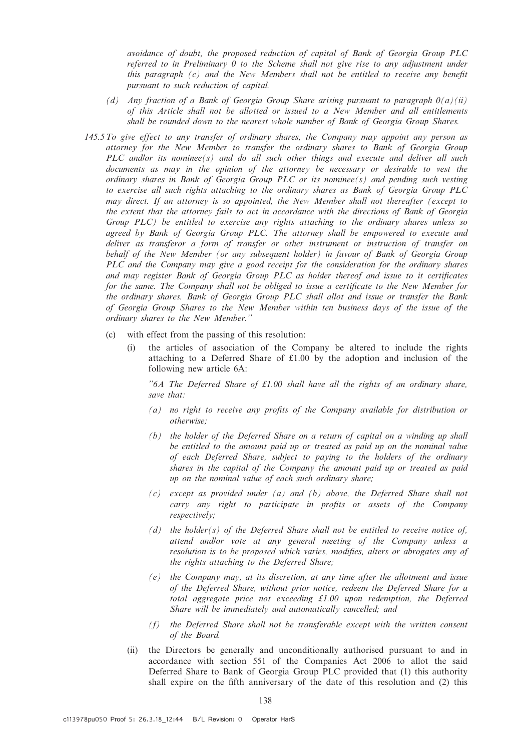avoidance of doubt, the proposed reduction of capital of Bank of Georgia Group PLC referred to in Preliminary 0 to the Scheme shall not give rise to any adjustment under this paragraph  $(c)$  and the New Members shall not be entitled to receive any benefit pursuant to such reduction of capital.

- (d) Any fraction of a Bank of Georgia Group Share arising pursuant to paragraph  $O(a)(ii)$ of this Article shall not be allotted or issued to a New Member and all entitlements shall be rounded down to the nearest whole number of Bank of Georgia Group Shares.
- 145.5 To give effect to any transfer of ordinary shares, the Company may appoint any person as attorney for the New Member to transfer the ordinary shares to Bank of Georgia Group PLC and/or its nominee(s) and do all such other things and execute and deliver all such documents as may in the opinion of the attorney be necessary or desirable to vest the ordinary shares in Bank of Georgia Group PLC or its nominee(s) and pending such vesting to exercise all such rights attaching to the ordinary shares as Bank of Georgia Group PLC may direct. If an attorney is so appointed, the New Member shall not thereafter (except to the extent that the attorney fails to act in accordance with the directions of Bank of Georgia Group PLC) be entitled to exercise any rights attaching to the ordinary shares unless so agreed by Bank of Georgia Group PLC. The attorney shall be empowered to execute and deliver as transferor a form of transfer or other instrument or instruction of transfer on behalf of the New Member (or any subsequent holder) in favour of Bank of Georgia Group PLC and the Company may give a good receipt for the consideration for the ordinary shares and may register Bank of Georgia Group PLC as holder thereof and issue to it certificates for the same. The Company shall not be obliged to issue a certificate to the New Member for the ordinary shares. Bank of Georgia Group PLC shall allot and issue or transfer the Bank of Georgia Group Shares to the New Member within ten business days of the issue of the ordinary shares to the New Member.''
	- (c) with effect from the passing of this resolution:
		- (i) the articles of association of the Company be altered to include the rights attaching to a Deferred Share of  $\text{\pounds}1.00$  by the adoption and inclusion of the following new article 6A:

"6A The Deferred Share of  $£1.00$  shall have all the rights of an ordinary share, save that:

- (a) no right to receive any profits of the Company available for distribution or otherwise;
- (b) the holder of the Deferred Share on a return of capital on a winding up shall be entitled to the amount paid up or treated as paid up on the nominal value of each Deferred Share, subject to paying to the holders of the ordinary shares in the capital of the Company the amount paid up or treated as paid up on the nominal value of each such ordinary share;
- (c) except as provided under (a) and (b) above, the Deferred Share shall not carry any right to participate in profits or assets of the Company respectively;
- (d) the holder(s) of the Deferred Share shall not be entitled to receive notice of, attend andlor vote at any general meeting of the Company unless a resolution is to be proposed which varies, modifies, alters or abrogates any of the rights attaching to the Deferred Share;
- (e) the Company may, at its discretion, at any time after the allotment and issue of the Deferred Share, without prior notice, redeem the Deferred Share for a total aggregate price not exceeding £1.00 upon redemption, the Deferred Share will be immediately and automatically cancelled; and
- (f) the Deferred Share shall not be transferable except with the written consent of the Board.
- (ii) the Directors be generally and unconditionally authorised pursuant to and in accordance with section 551 of the Companies Act 2006 to allot the said Deferred Share to Bank of Georgia Group PLC provided that (1) this authority shall expire on the fifth anniversary of the date of this resolution and (2) this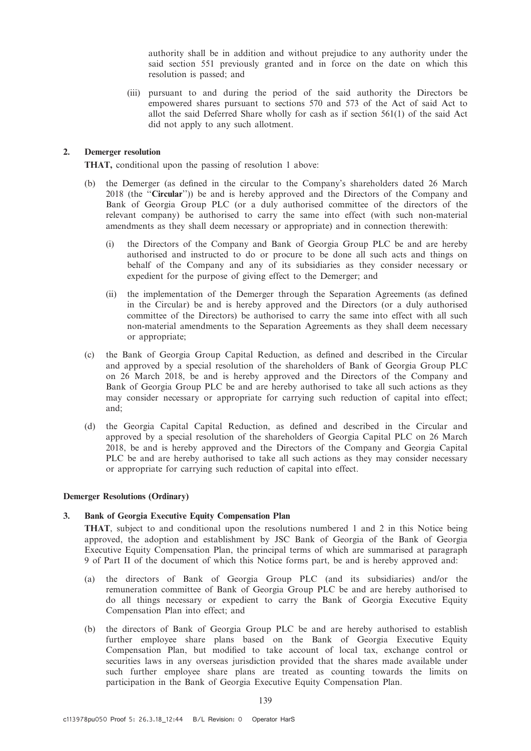authority shall be in addition and without prejudice to any authority under the said section 551 previously granted and in force on the date on which this resolution is passed; and

(iii) pursuant to and during the period of the said authority the Directors be empowered shares pursuant to sections 570 and 573 of the Act of said Act to allot the said Deferred Share wholly for cash as if section 561(1) of the said Act did not apply to any such allotment.

## 2. Demerger resolution

THAT, conditional upon the passing of resolution 1 above:

- (b) the Demerger (as defined in the circular to the Company's shareholders dated 26 March 2018 (the "Circular")) be and is hereby approved and the Directors of the Company and Bank of Georgia Group PLC (or a duly authorised committee of the directors of the relevant company) be authorised to carry the same into effect (with such non-material amendments as they shall deem necessary or appropriate) and in connection therewith:
	- (i) the Directors of the Company and Bank of Georgia Group PLC be and are hereby authorised and instructed to do or procure to be done all such acts and things on behalf of the Company and any of its subsidiaries as they consider necessary or expedient for the purpose of giving effect to the Demerger; and
	- (ii) the implementation of the Demerger through the Separation Agreements (as defined in the Circular) be and is hereby approved and the Directors (or a duly authorised committee of the Directors) be authorised to carry the same into effect with all such non-material amendments to the Separation Agreements as they shall deem necessary or appropriate;
- (c) the Bank of Georgia Group Capital Reduction, as defined and described in the Circular and approved by a special resolution of the shareholders of Bank of Georgia Group PLC on 26 March 2018, be and is hereby approved and the Directors of the Company and Bank of Georgia Group PLC be and are hereby authorised to take all such actions as they may consider necessary or appropriate for carrying such reduction of capital into effect; and;
- (d) the Georgia Capital Capital Reduction, as defined and described in the Circular and approved by a special resolution of the shareholders of Georgia Capital PLC on 26 March 2018, be and is hereby approved and the Directors of the Company and Georgia Capital PLC be and are hereby authorised to take all such actions as they may consider necessary or appropriate for carrying such reduction of capital into effect.

## Demerger Resolutions (Ordinary)

## 3. Bank of Georgia Executive Equity Compensation Plan

THAT, subject to and conditional upon the resolutions numbered 1 and 2 in this Notice being approved, the adoption and establishment by JSC Bank of Georgia of the Bank of Georgia Executive Equity Compensation Plan, the principal terms of which are summarised at paragraph 9 of Part II of the document of which this Notice forms part, be and is hereby approved and:

- (a) the directors of Bank of Georgia Group PLC (and its subsidiaries) and/or the remuneration committee of Bank of Georgia Group PLC be and are hereby authorised to do all things necessary or expedient to carry the Bank of Georgia Executive Equity Compensation Plan into effect; and
- (b) the directors of Bank of Georgia Group PLC be and are hereby authorised to establish further employee share plans based on the Bank of Georgia Executive Equity Compensation Plan, but modified to take account of local tax, exchange control or securities laws in any overseas jurisdiction provided that the shares made available under such further employee share plans are treated as counting towards the limits on participation in the Bank of Georgia Executive Equity Compensation Plan.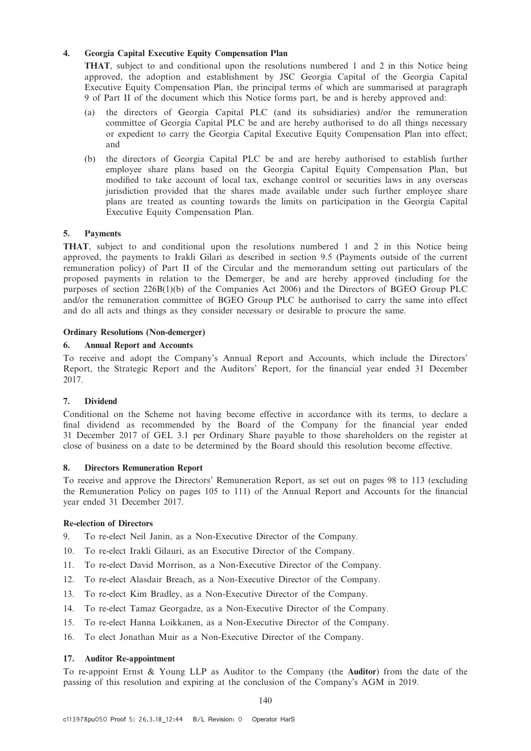## 4. Georgia Capital Executive Equity Compensation Plan

THAT, subject to and conditional upon the resolutions numbered 1 and 2 in this Notice being approved, the adoption and establishment by JSC Georgia Capital of the Georgia Capital Executive Equity Compensation Plan, the principal terms of which are summarised at paragraph 9 of Part II of the document which this Notice forms part, be and is hereby approved and:

- the directors of Georgia Capital PLC (and its subsidiaries) and/or the remuneration committee of Georgia Capital PLC be and are hereby authorised to do all things necessary or expedient to carry the Georgia Capital Executive Equity Compensation Plan into effect; and
- (b) the directors of Georgia Capital PLC be and are hereby authorised to establish further employee share plans based on the Georgia Capital Equity Compensation Plan, but modified to take account of local tax, exchange control or securities laws in any overseas jurisdiction provided that the shares made available under such further employee share plans are treated as counting towards the limits on participation in the Georgia Capital Executive Equity Compensation Plan.

## 5. Payments

THAT, subject to and conditional upon the resolutions numbered 1 and 2 in this Notice being approved, the payments to Irakli Gilari as described in section 9.5 (Payments outside of the current remuneration policy) of Part II of the Circular and the memorandum setting out particulars of the proposed payments in relation to the Demerger, be and are hereby approved (including for the purposes of section 226B(1)(b) of the Companies Act 2006) and the Directors of BGEO Group PLC and/or the remuneration committee of BGEO Group PLC be authorised to carry the same into effect and do all acts and things as they consider necessary or desirable to procure the same.

## Ordinary Resolutions (Non-demerger)

## 6. Annual Report and Accounts

To receive and adopt the Company's Annual Report and Accounts, which include the Directors' Report, the Strategic Report and the Auditors' Report, for the financial year ended 31 December 2017.

## 7. Dividend

Conditional on the Scheme not having become effective in accordance with its terms, to declare a final dividend as recommended by the Board of the Company for the financial year ended 31 December 2017 of GEL 3.1 per Ordinary Share payable to those shareholders on the register at close of business on a date to be determined by the Board should this resolution become effective.

## 8. Directors Remuneration Report

To receive and approve the Directors' Remuneration Report, as set out on pages 98 to 113 (excluding the Remuneration Policy on pages 105 to 111) of the Annual Report and Accounts for the financial year ended 31 December 2017.

## Re-election of Directors

- 9. To re-elect Neil Janin, as a Non-Executive Director of the Company.
- 10. To re-elect Irakli Gilauri, as an Executive Director of the Company.
- 11. To re-elect David Morrison, as a Non-Executive Director of the Company.
- 12. To re-elect Alasdair Breach, as a Non-Executive Director of the Company.
- 13. To re-elect Kim Bradley, as a Non-Executive Director of the Company.
- 14. To re-elect Tamaz Georgadze, as a Non-Executive Director of the Company.
- 15. To re-elect Hanna Loikkanen, as a Non-Executive Director of the Company.
- 16. To elect Jonathan Muir as a Non-Executive Director of the Company.

#### 17. Auditor Re-appointment

To re-appoint Ernst & Young LLP as Auditor to the Company (the Auditor) from the date of the passing of this resolution and expiring at the conclusion of the Company's AGM in 2019.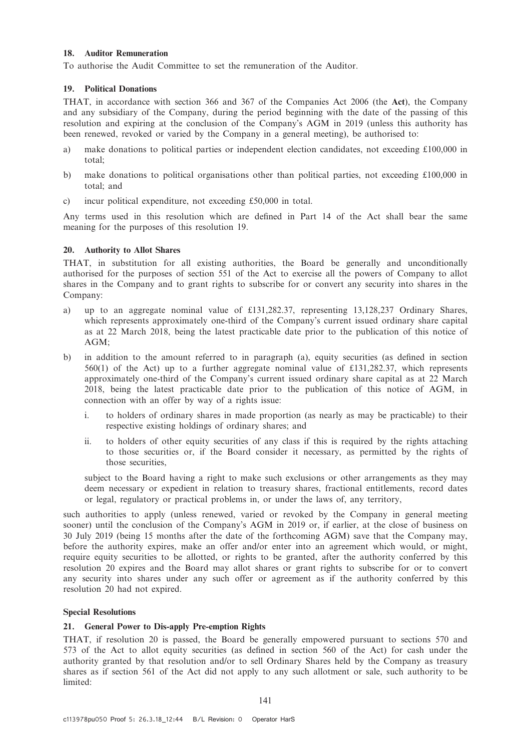## 18. Auditor Remuneration

To authorise the Audit Committee to set the remuneration of the Auditor.

## 19. Political Donations

THAT, in accordance with section 366 and 367 of the Companies Act 2006 (the Act), the Company and any subsidiary of the Company, during the period beginning with the date of the passing of this resolution and expiring at the conclusion of the Company's AGM in 2019 (unless this authority has been renewed, revoked or varied by the Company in a general meeting), be authorised to:

- a) make donations to political parties or independent election candidates, not exceeding £100,000 in total;
- b) make donations to political organisations other than political parties, not exceeding £100,000 in total; and
- c) incur political expenditure, not exceeding £50,000 in total.

Any terms used in this resolution which are defined in Part 14 of the Act shall bear the same meaning for the purposes of this resolution 19.

## 20. Authority to Allot Shares

THAT, in substitution for all existing authorities, the Board be generally and unconditionally authorised for the purposes of section 551 of the Act to exercise all the powers of Company to allot shares in the Company and to grant rights to subscribe for or convert any security into shares in the Company:

- a) up to an aggregate nominal value of £131,282.37, representing 13,128,237 Ordinary Shares, which represents approximately one-third of the Company's current issued ordinary share capital as at 22 March 2018, being the latest practicable date prior to the publication of this notice of AGM;
- b) in addition to the amount referred to in paragraph (a), equity securities (as defined in section 560(1) of the Act) up to a further aggregate nominal value of £131,282.37, which represents approximately one-third of the Company's current issued ordinary share capital as at 22 March 2018, being the latest practicable date prior to the publication of this notice of AGM, in connection with an offer by way of a rights issue:
	- i. to holders of ordinary shares in made proportion (as nearly as may be practicable) to their respective existing holdings of ordinary shares; and
	- ii. to holders of other equity securities of any class if this is required by the rights attaching to those securities or, if the Board consider it necessary, as permitted by the rights of those securities,

subject to the Board having a right to make such exclusions or other arrangements as they may deem necessary or expedient in relation to treasury shares, fractional entitlements, record dates or legal, regulatory or practical problems in, or under the laws of, any territory,

such authorities to apply (unless renewed, varied or revoked by the Company in general meeting sooner) until the conclusion of the Company's AGM in 2019 or, if earlier, at the close of business on 30 July 2019 (being 15 months after the date of the forthcoming AGM) save that the Company may, before the authority expires, make an offer and/or enter into an agreement which would, or might, require equity securities to be allotted, or rights to be granted, after the authority conferred by this resolution 20 expires and the Board may allot shares or grant rights to subscribe for or to convert any security into shares under any such offer or agreement as if the authority conferred by this resolution 20 had not expired.

## Special Resolutions

## 21. General Power to Dis-apply Pre-emption Rights

THAT, if resolution 20 is passed, the Board be generally empowered pursuant to sections 570 and 573 of the Act to allot equity securities (as defined in section 560 of the Act) for cash under the authority granted by that resolution and/or to sell Ordinary Shares held by the Company as treasury shares as if section 561 of the Act did not apply to any such allotment or sale, such authority to be limited: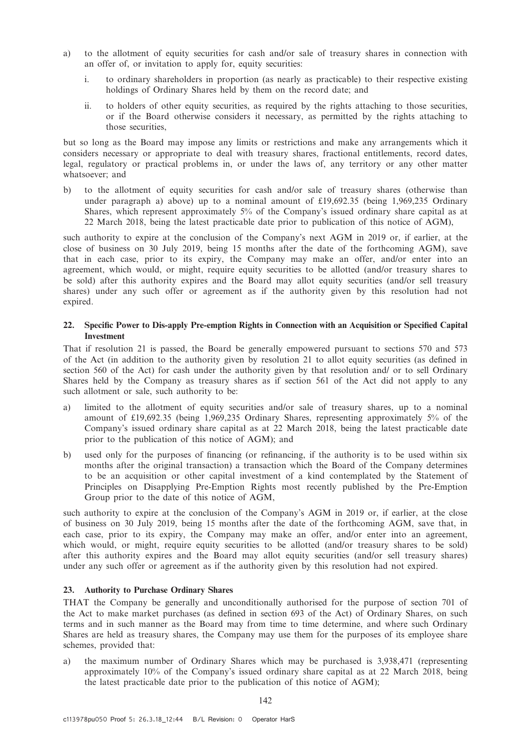- a) to the allotment of equity securities for cash and/or sale of treasury shares in connection with an offer of, or invitation to apply for, equity securities:
	- i. to ordinary shareholders in proportion (as nearly as practicable) to their respective existing holdings of Ordinary Shares held by them on the record date; and
	- ii. to holders of other equity securities, as required by the rights attaching to those securities, or if the Board otherwise considers it necessary, as permitted by the rights attaching to those securities,

but so long as the Board may impose any limits or restrictions and make any arrangements which it considers necessary or appropriate to deal with treasury shares, fractional entitlements, record dates, legal, regulatory or practical problems in, or under the laws of, any territory or any other matter whatsoever; and

b) to the allotment of equity securities for cash and/or sale of treasury shares (otherwise than under paragraph a) above) up to a nominal amount of £19,692.35 (being 1,969,235 Ordinary Shares, which represent approximately 5% of the Company's issued ordinary share capital as at 22 March 2018, being the latest practicable date prior to publication of this notice of AGM),

such authority to expire at the conclusion of the Company's next AGM in 2019 or, if earlier, at the close of business on 30 July 2019, being 15 months after the date of the forthcoming AGM), save that in each case, prior to its expiry, the Company may make an offer, and/or enter into an agreement, which would, or might, require equity securities to be allotted (and/or treasury shares to be sold) after this authority expires and the Board may allot equity securities (and/or sell treasury shares) under any such offer or agreement as if the authority given by this resolution had not expired.

## 22. Specific Power to Dis-apply Pre-emption Rights in Connection with an Acquisition or Specified Capital Investment

That if resolution 21 is passed, the Board be generally empowered pursuant to sections 570 and 573 of the Act (in addition to the authority given by resolution 21 to allot equity securities (as defined in section 560 of the Act) for cash under the authority given by that resolution and/ or to sell Ordinary Shares held by the Company as treasury shares as if section 561 of the Act did not apply to any such allotment or sale, such authority to be:

- a) limited to the allotment of equity securities and/or sale of treasury shares, up to a nominal amount of £19,692.35 (being 1,969,235 Ordinary Shares, representing approximately 5% of the Company's issued ordinary share capital as at 22 March 2018, being the latest practicable date prior to the publication of this notice of AGM); and
- b) used only for the purposes of financing (or refinancing, if the authority is to be used within six months after the original transaction) a transaction which the Board of the Company determines to be an acquisition or other capital investment of a kind contemplated by the Statement of Principles on Disapplying Pre-Emption Rights most recently published by the Pre-Emption Group prior to the date of this notice of AGM,

such authority to expire at the conclusion of the Company's AGM in 2019 or, if earlier, at the close of business on 30 July 2019, being 15 months after the date of the forthcoming AGM, save that, in each case, prior to its expiry, the Company may make an offer, and/or enter into an agreement, which would, or might, require equity securities to be allotted (and/or treasury shares to be sold) after this authority expires and the Board may allot equity securities (and/or sell treasury shares) under any such offer or agreement as if the authority given by this resolution had not expired.

## 23. Authority to Purchase Ordinary Shares

THAT the Company be generally and unconditionally authorised for the purpose of section 701 of the Act to make market purchases (as defined in section 693 of the Act) of Ordinary Shares, on such terms and in such manner as the Board may from time to time determine, and where such Ordinary Shares are held as treasury shares, the Company may use them for the purposes of its employee share schemes, provided that:

a) the maximum number of Ordinary Shares which may be purchased is 3,938,471 (representing approximately 10% of the Company's issued ordinary share capital as at 22 March 2018, being the latest practicable date prior to the publication of this notice of AGM);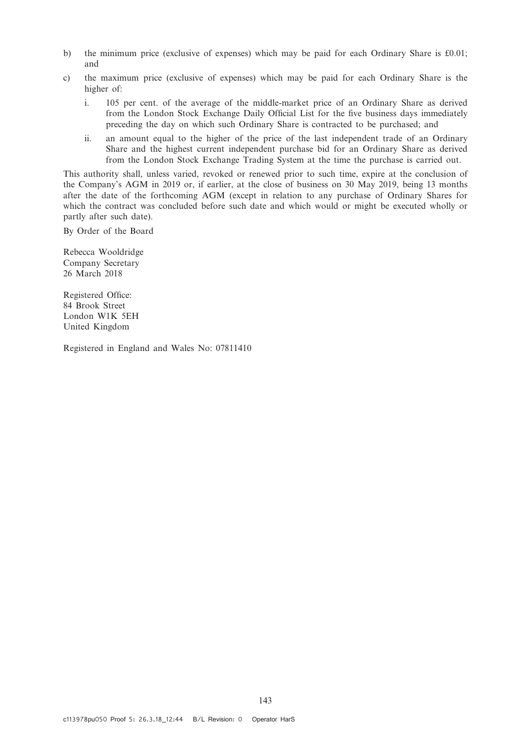- b) the minimum price (exclusive of expenses) which may be paid for each Ordinary Share is £0.01; and
- c) the maximum price (exclusive of expenses) which may be paid for each Ordinary Share is the higher of:
	- i. 105 per cent. of the average of the middle-market price of an Ordinary Share as derived from the London Stock Exchange Daily Official List for the five business days immediately preceding the day on which such Ordinary Share is contracted to be purchased; and
	- ii. an amount equal to the higher of the price of the last independent trade of an Ordinary Share and the highest current independent purchase bid for an Ordinary Share as derived from the London Stock Exchange Trading System at the time the purchase is carried out.

This authority shall, unless varied, revoked or renewed prior to such time, expire at the conclusion of the Company's AGM in 2019 or, if earlier, at the close of business on 30 May 2019, being 13 months after the date of the forthcoming AGM (except in relation to any purchase of Ordinary Shares for which the contract was concluded before such date and which would or might be executed wholly or partly after such date).

By Order of the Board

Rebecca Wooldridge Company Secretary 26 March 2018

Registered Office: 84 Brook Street London W1K 5EH United Kingdom

Registered in England and Wales No: 07811410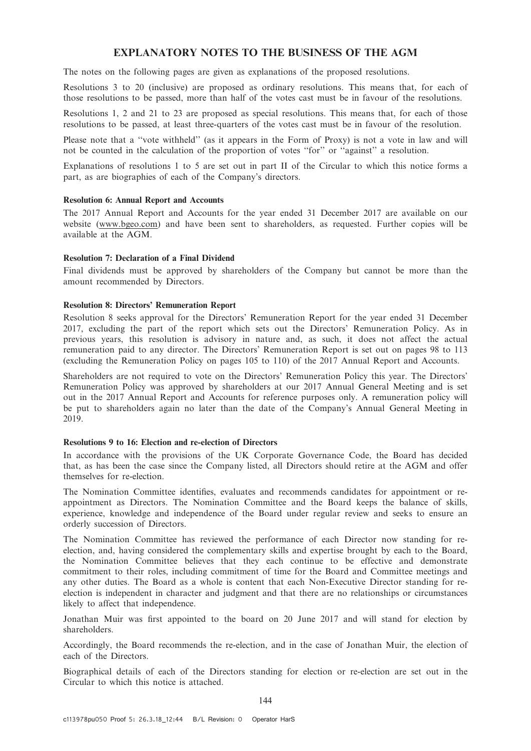# EXPLANATORY NOTES TO THE BUSINESS OF THE AGM

The notes on the following pages are given as explanations of the proposed resolutions.

Resolutions 3 to 20 (inclusive) are proposed as ordinary resolutions. This means that, for each of those resolutions to be passed, more than half of the votes cast must be in favour of the resolutions.

Resolutions 1, 2 and 21 to 23 are proposed as special resolutions. This means that, for each of those resolutions to be passed, at least three-quarters of the votes cast must be in favour of the resolution.

Please note that a ''vote withheld'' (as it appears in the Form of Proxy) is not a vote in law and will not be counted in the calculation of the proportion of votes ''for'' or ''against'' a resolution.

Explanations of resolutions 1 to 5 are set out in part II of the Circular to which this notice forms a part, as are biographies of each of the Company's directors.

#### Resolution 6: Annual Report and Accounts

The 2017 Annual Report and Accounts for the year ended 31 December 2017 are available on our website (www.bgeo.com) and have been sent to shareholders, as requested. Further copies will be available at the AGM.

#### Resolution 7: Declaration of a Final Dividend

Final dividends must be approved by shareholders of the Company but cannot be more than the amount recommended by Directors.

#### Resolution 8: Directors' Remuneration Report

Resolution 8 seeks approval for the Directors' Remuneration Report for the year ended 31 December 2017, excluding the part of the report which sets out the Directors' Remuneration Policy. As in previous years, this resolution is advisory in nature and, as such, it does not affect the actual remuneration paid to any director. The Directors' Remuneration Report is set out on pages 98 to 113 (excluding the Remuneration Policy on pages 105 to 110) of the 2017 Annual Report and Accounts.

Shareholders are not required to vote on the Directors' Remuneration Policy this year. The Directors' Remuneration Policy was approved by shareholders at our 2017 Annual General Meeting and is set out in the 2017 Annual Report and Accounts for reference purposes only. A remuneration policy will be put to shareholders again no later than the date of the Company's Annual General Meeting in 2019.

#### Resolutions 9 to 16: Election and re-election of Directors

In accordance with the provisions of the UK Corporate Governance Code, the Board has decided that, as has been the case since the Company listed, all Directors should retire at the AGM and offer themselves for re-election.

The Nomination Committee identifies, evaluates and recommends candidates for appointment or reappointment as Directors. The Nomination Committee and the Board keeps the balance of skills, experience, knowledge and independence of the Board under regular review and seeks to ensure an orderly succession of Directors.

The Nomination Committee has reviewed the performance of each Director now standing for reelection, and, having considered the complementary skills and expertise brought by each to the Board, the Nomination Committee believes that they each continue to be effective and demonstrate commitment to their roles, including commitment of time for the Board and Committee meetings and any other duties. The Board as a whole is content that each Non-Executive Director standing for reelection is independent in character and judgment and that there are no relationships or circumstances likely to affect that independence.

Jonathan Muir was first appointed to the board on 20 June 2017 and will stand for election by shareholders.

Accordingly, the Board recommends the re-election, and in the case of Jonathan Muir, the election of each of the Directors.

Biographical details of each of the Directors standing for election or re-election are set out in the Circular to which this notice is attached.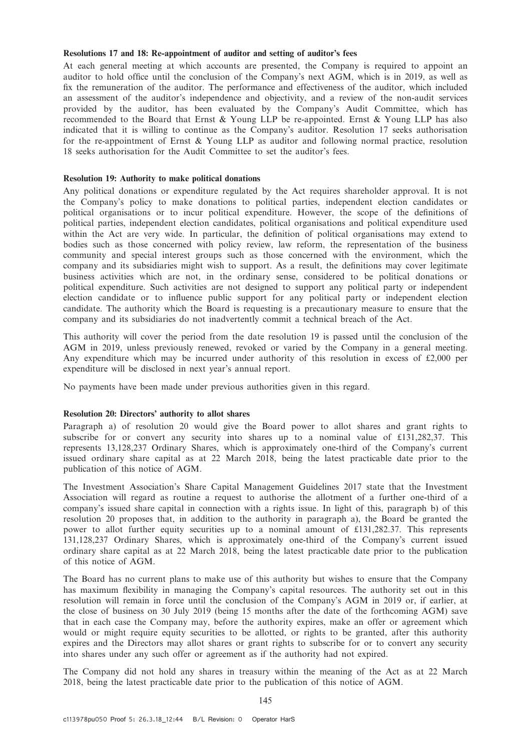#### Resolutions 17 and 18: Re-appointment of auditor and setting of auditor's fees

At each general meeting at which accounts are presented, the Company is required to appoint an auditor to hold office until the conclusion of the Company's next AGM, which is in 2019, as well as fix the remuneration of the auditor. The performance and effectiveness of the auditor, which included an assessment of the auditor's independence and objectivity, and a review of the non-audit services provided by the auditor, has been evaluated by the Company's Audit Committee, which has recommended to the Board that Ernst & Young LLP be re-appointed. Ernst & Young LLP has also indicated that it is willing to continue as the Company's auditor. Resolution 17 seeks authorisation for the re-appointment of Ernst & Young LLP as auditor and following normal practice, resolution 18 seeks authorisation for the Audit Committee to set the auditor's fees.

#### Resolution 19: Authority to make political donations

Any political donations or expenditure regulated by the Act requires shareholder approval. It is not the Company's policy to make donations to political parties, independent election candidates or political organisations or to incur political expenditure. However, the scope of the definitions of political parties, independent election candidates, political organisations and political expenditure used within the Act are very wide. In particular, the definition of political organisations may extend to bodies such as those concerned with policy review, law reform, the representation of the business community and special interest groups such as those concerned with the environment, which the company and its subsidiaries might wish to support. As a result, the definitions may cover legitimate business activities which are not, in the ordinary sense, considered to be political donations or political expenditure. Such activities are not designed to support any political party or independent election candidate or to influence public support for any political party or independent election candidate. The authority which the Board is requesting is a precautionary measure to ensure that the company and its subsidiaries do not inadvertently commit a technical breach of the Act.

This authority will cover the period from the date resolution 19 is passed until the conclusion of the AGM in 2019, unless previously renewed, revoked or varied by the Company in a general meeting. Any expenditure which may be incurred under authority of this resolution in excess of £2,000 per expenditure will be disclosed in next year's annual report.

No payments have been made under previous authorities given in this regard.

#### Resolution 20: Directors' authority to allot shares

Paragraph a) of resolution 20 would give the Board power to allot shares and grant rights to subscribe for or convert any security into shares up to a nominal value of £131,282,37. This represents 13,128,237 Ordinary Shares, which is approximately one-third of the Company's current issued ordinary share capital as at 22 March 2018, being the latest practicable date prior to the publication of this notice of AGM.

The Investment Association's Share Capital Management Guidelines 2017 state that the Investment Association will regard as routine a request to authorise the allotment of a further one-third of a company's issued share capital in connection with a rights issue. In light of this, paragraph b) of this resolution 20 proposes that, in addition to the authority in paragraph a), the Board be granted the power to allot further equity securities up to a nominal amount of £131,282.37. This represents 131,128,237 Ordinary Shares, which is approximately one-third of the Company's current issued ordinary share capital as at 22 March 2018, being the latest practicable date prior to the publication of this notice of AGM.

The Board has no current plans to make use of this authority but wishes to ensure that the Company has maximum flexibility in managing the Company's capital resources. The authority set out in this resolution will remain in force until the conclusion of the Company's AGM in 2019 or, if earlier, at the close of business on 30 July 2019 (being 15 months after the date of the forthcoming AGM) save that in each case the Company may, before the authority expires, make an offer or agreement which would or might require equity securities to be allotted, or rights to be granted, after this authority expires and the Directors may allot shares or grant rights to subscribe for or to convert any security into shares under any such offer or agreement as if the authority had not expired.

The Company did not hold any shares in treasury within the meaning of the Act as at 22 March 2018, being the latest practicable date prior to the publication of this notice of AGM.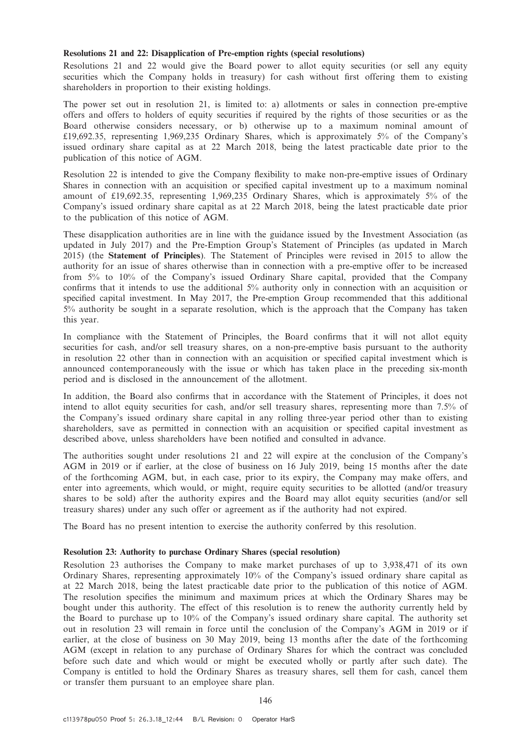#### Resolutions 21 and 22: Disapplication of Pre-emption rights (special resolutions)

Resolutions 21 and 22 would give the Board power to allot equity securities (or sell any equity securities which the Company holds in treasury) for cash without first offering them to existing shareholders in proportion to their existing holdings.

The power set out in resolution 21, is limited to: a) allotments or sales in connection pre-emptive offers and offers to holders of equity securities if required by the rights of those securities or as the Board otherwise considers necessary, or b) otherwise up to a maximum nominal amount of £19,692.35, representing 1,969,235 Ordinary Shares, which is approximately 5% of the Company's issued ordinary share capital as at 22 March 2018, being the latest practicable date prior to the publication of this notice of AGM.

Resolution 22 is intended to give the Company flexibility to make non-pre-emptive issues of Ordinary Shares in connection with an acquisition or specified capital investment up to a maximum nominal amount of £19,692.35, representing 1,969,235 Ordinary Shares, which is approximately 5% of the Company's issued ordinary share capital as at 22 March 2018, being the latest practicable date prior to the publication of this notice of AGM.

These disapplication authorities are in line with the guidance issued by the Investment Association (as updated in July 2017) and the Pre-Emption Group's Statement of Principles (as updated in March 2015) (the Statement of Principles). The Statement of Principles were revised in 2015 to allow the authority for an issue of shares otherwise than in connection with a pre-emptive offer to be increased from 5% to 10% of the Company's issued Ordinary Share capital, provided that the Company confirms that it intends to use the additional 5% authority only in connection with an acquisition or specified capital investment. In May 2017, the Pre-emption Group recommended that this additional 5% authority be sought in a separate resolution, which is the approach that the Company has taken this year.

In compliance with the Statement of Principles, the Board confirms that it will not allot equity securities for cash, and/or sell treasury shares, on a non-pre-emptive basis pursuant to the authority in resolution 22 other than in connection with an acquisition or specified capital investment which is announced contemporaneously with the issue or which has taken place in the preceding six-month period and is disclosed in the announcement of the allotment.

In addition, the Board also confirms that in accordance with the Statement of Principles, it does not intend to allot equity securities for cash, and/or sell treasury shares, representing more than 7.5% of the Company's issued ordinary share capital in any rolling three-year period other than to existing shareholders, save as permitted in connection with an acquisition or specified capital investment as described above, unless shareholders have been notified and consulted in advance.

The authorities sought under resolutions 21 and 22 will expire at the conclusion of the Company's AGM in 2019 or if earlier, at the close of business on 16 July 2019, being 15 months after the date of the forthcoming AGM, but, in each case, prior to its expiry, the Company may make offers, and enter into agreements, which would, or might, require equity securities to be allotted (and/or treasury shares to be sold) after the authority expires and the Board may allot equity securities (and/or sell treasury shares) under any such offer or agreement as if the authority had not expired.

The Board has no present intention to exercise the authority conferred by this resolution.

## Resolution 23: Authority to purchase Ordinary Shares (special resolution)

Resolution 23 authorises the Company to make market purchases of up to 3,938,471 of its own Ordinary Shares, representing approximately 10% of the Company's issued ordinary share capital as at 22 March 2018, being the latest practicable date prior to the publication of this notice of AGM. The resolution specifies the minimum and maximum prices at which the Ordinary Shares may be bought under this authority. The effect of this resolution is to renew the authority currently held by the Board to purchase up to 10% of the Company's issued ordinary share capital. The authority set out in resolution 23 will remain in force until the conclusion of the Company's AGM in 2019 or if earlier, at the close of business on 30 May 2019, being 13 months after the date of the forthcoming AGM (except in relation to any purchase of Ordinary Shares for which the contract was concluded before such date and which would or might be executed wholly or partly after such date). The Company is entitled to hold the Ordinary Shares as treasury shares, sell them for cash, cancel them or transfer them pursuant to an employee share plan.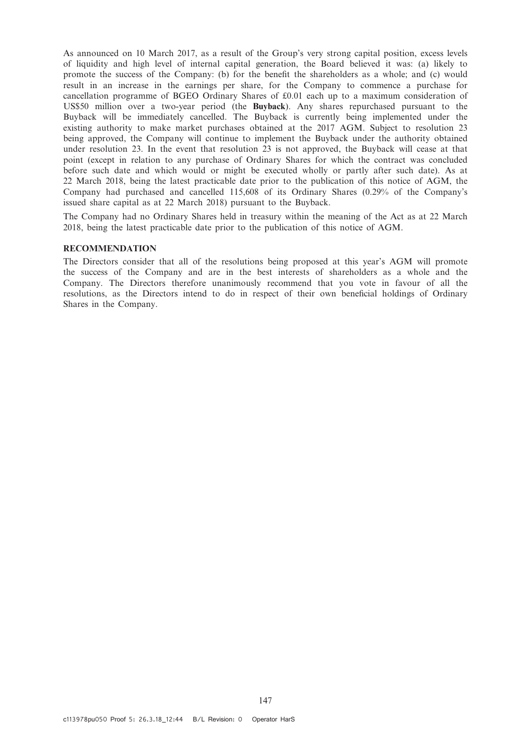As announced on 10 March 2017, as a result of the Group's very strong capital position, excess levels of liquidity and high level of internal capital generation, the Board believed it was: (a) likely to promote the success of the Company: (b) for the benefit the shareholders as a whole; and (c) would result in an increase in the earnings per share, for the Company to commence a purchase for cancellation programme of BGEO Ordinary Shares of £0.01 each up to a maximum consideration of US\$50 million over a two-year period (the Buyback). Any shares repurchased pursuant to the Buyback will be immediately cancelled. The Buyback is currently being implemented under the existing authority to make market purchases obtained at the 2017 AGM. Subject to resolution 23 being approved, the Company will continue to implement the Buyback under the authority obtained under resolution 23. In the event that resolution 23 is not approved, the Buyback will cease at that point (except in relation to any purchase of Ordinary Shares for which the contract was concluded before such date and which would or might be executed wholly or partly after such date). As at 22 March 2018, being the latest practicable date prior to the publication of this notice of AGM, the Company had purchased and cancelled 115,608 of its Ordinary Shares (0.29% of the Company's issued share capital as at 22 March 2018) pursuant to the Buyback.

The Company had no Ordinary Shares held in treasury within the meaning of the Act as at 22 March 2018, being the latest practicable date prior to the publication of this notice of AGM.

# RECOMMENDATION

The Directors consider that all of the resolutions being proposed at this year's AGM will promote the success of the Company and are in the best interests of shareholders as a whole and the Company. The Directors therefore unanimously recommend that you vote in favour of all the resolutions, as the Directors intend to do in respect of their own beneficial holdings of Ordinary Shares in the Company.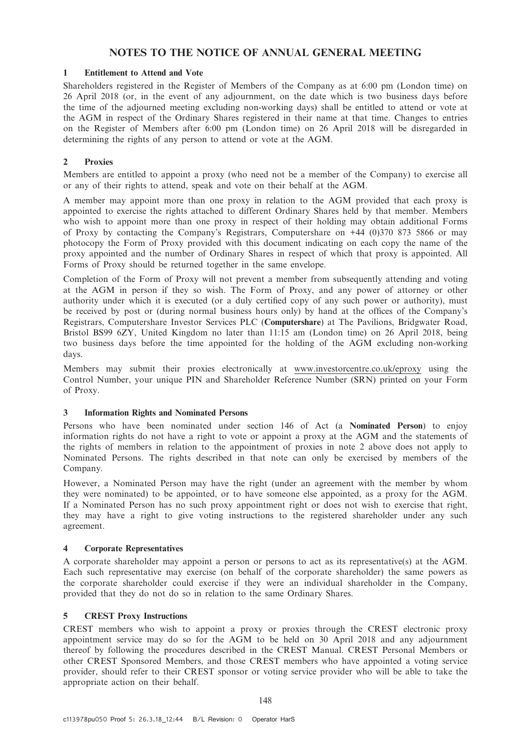# NOTES TO THE NOTICE OF ANNUAL GENERAL MEETING

## 1 Entitlement to Attend and Vote

Shareholders registered in the Register of Members of the Company as at 6:00 pm (London time) on 26 April 2018 (or, in the event of any adjournment, on the date which is two business days before the time of the adjourned meeting excluding non-working days) shall be entitled to attend or vote at the AGM in respect of the Ordinary Shares registered in their name at that time. Changes to entries on the Register of Members after 6:00 pm (London time) on 26 April 2018 will be disregarded in determining the rights of any person to attend or vote at the AGM.

## 2 Proxies

Members are entitled to appoint a proxy (who need not be a member of the Company) to exercise all or any of their rights to attend, speak and vote on their behalf at the AGM.

A member may appoint more than one proxy in relation to the AGM provided that each proxy is appointed to exercise the rights attached to different Ordinary Shares held by that member. Members who wish to appoint more than one proxy in respect of their holding may obtain additional Forms of Proxy by contacting the Company's Registrars, Computershare on +44 (0)370 873 5866 or may photocopy the Form of Proxy provided with this document indicating on each copy the name of the proxy appointed and the number of Ordinary Shares in respect of which that proxy is appointed. All Forms of Proxy should be returned together in the same envelope.

Completion of the Form of Proxy will not prevent a member from subsequently attending and voting at the AGM in person if they so wish. The Form of Proxy, and any power of attorney or other authority under which it is executed (or a duly certified copy of any such power or authority), must be received by post or (during normal business hours only) by hand at the offices of the Company's Registrars, Computershare Investor Services PLC (Computershare) at The Pavilions, Bridgwater Road, Bristol BS99 6ZY, United Kingdom no later than 11:15 am (London time) on 26 April 2018, being two business days before the time appointed for the holding of the AGM excluding non-working days.

Members may submit their proxies electronically at www.investorcentre.co.uk/eproxy using the Control Number, your unique PIN and Shareholder Reference Number (SRN) printed on your Form of Proxy.

## 3 Information Rights and Nominated Persons

Persons who have been nominated under section 146 of Act (a Nominated Person) to enjoy information rights do not have a right to vote or appoint a proxy at the AGM and the statements of the rights of members in relation to the appointment of proxies in note 2 above does not apply to Nominated Persons. The rights described in that note can only be exercised by members of the Company.

However, a Nominated Person may have the right (under an agreement with the member by whom they were nominated) to be appointed, or to have someone else appointed, as a proxy for the AGM. If a Nominated Person has no such proxy appointment right or does not wish to exercise that right, they may have a right to give voting instructions to the registered shareholder under any such agreement.

## 4 Corporate Representatives

A corporate shareholder may appoint a person or persons to act as its representative(s) at the AGM. Each such representative may exercise (on behalf of the corporate shareholder) the same powers as the corporate shareholder could exercise if they were an individual shareholder in the Company, provided that they do not do so in relation to the same Ordinary Shares.

# 5 CREST Proxy Instructions

CREST members who wish to appoint a proxy or proxies through the CREST electronic proxy appointment service may do so for the AGM to be held on 30 April 2018 and any adjournment thereof by following the procedures described in the CREST Manual. CREST Personal Members or other CREST Sponsored Members, and those CREST members who have appointed a voting service provider, should refer to their CREST sponsor or voting service provider who will be able to take the appropriate action on their behalf.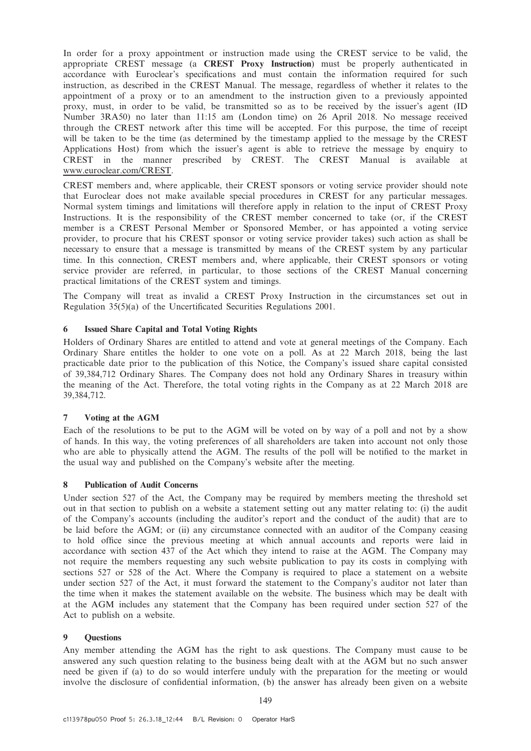In order for a proxy appointment or instruction made using the CREST service to be valid, the appropriate CREST message (a CREST Proxy Instruction) must be properly authenticated in accordance with Euroclear's specifications and must contain the information required for such instruction, as described in the CREST Manual. The message, regardless of whether it relates to the appointment of a proxy or to an amendment to the instruction given to a previously appointed proxy, must, in order to be valid, be transmitted so as to be received by the issuer's agent (ID Number 3RA50) no later than 11:15 am (London time) on 26 April 2018. No message received through the CREST network after this time will be accepted. For this purpose, the time of receipt will be taken to be the time (as determined by the timestamp applied to the message by the CREST Applications Host) from which the issuer's agent is able to retrieve the message by enquiry to CREST in the manner prescribed by CREST. The CREST Manual is available at www.euroclear.com/CREST.

CREST members and, where applicable, their CREST sponsors or voting service provider should note that Euroclear does not make available special procedures in CREST for any particular messages. Normal system timings and limitations will therefore apply in relation to the input of CREST Proxy Instructions. It is the responsibility of the CREST member concerned to take (or, if the CREST member is a CREST Personal Member or Sponsored Member, or has appointed a voting service provider, to procure that his CREST sponsor or voting service provider takes) such action as shall be necessary to ensure that a message is transmitted by means of the CREST system by any particular time. In this connection, CREST members and, where applicable, their CREST sponsors or voting service provider are referred, in particular, to those sections of the CREST Manual concerning practical limitations of the CREST system and timings.

The Company will treat as invalid a CREST Proxy Instruction in the circumstances set out in Regulation 35(5)(a) of the Uncertificated Securities Regulations 2001.

## 6 Issued Share Capital and Total Voting Rights

Holders of Ordinary Shares are entitled to attend and vote at general meetings of the Company. Each Ordinary Share entitles the holder to one vote on a poll. As at 22 March 2018, being the last practicable date prior to the publication of this Notice, the Company's issued share capital consisted of 39,384,712 Ordinary Shares. The Company does not hold any Ordinary Shares in treasury within the meaning of the Act. Therefore, the total voting rights in the Company as at 22 March 2018 are 39,384,712.

## 7 Voting at the AGM

Each of the resolutions to be put to the AGM will be voted on by way of a poll and not by a show of hands. In this way, the voting preferences of all shareholders are taken into account not only those who are able to physically attend the AGM. The results of the poll will be notified to the market in the usual way and published on the Company's website after the meeting.

## 8 Publication of Audit Concerns

Under section 527 of the Act, the Company may be required by members meeting the threshold set out in that section to publish on a website a statement setting out any matter relating to: (i) the audit of the Company's accounts (including the auditor's report and the conduct of the audit) that are to be laid before the AGM; or (ii) any circumstance connected with an auditor of the Company ceasing to hold office since the previous meeting at which annual accounts and reports were laid in accordance with section 437 of the Act which they intend to raise at the AGM. The Company may not require the members requesting any such website publication to pay its costs in complying with sections 527 or 528 of the Act. Where the Company is required to place a statement on a website under section 527 of the Act, it must forward the statement to the Company's auditor not later than the time when it makes the statement available on the website. The business which may be dealt with at the AGM includes any statement that the Company has been required under section 527 of the Act to publish on a website.

## 9 Questions

Any member attending the AGM has the right to ask questions. The Company must cause to be answered any such question relating to the business being dealt with at the AGM but no such answer need be given if (a) to do so would interfere unduly with the preparation for the meeting or would involve the disclosure of confidential information, (b) the answer has already been given on a website